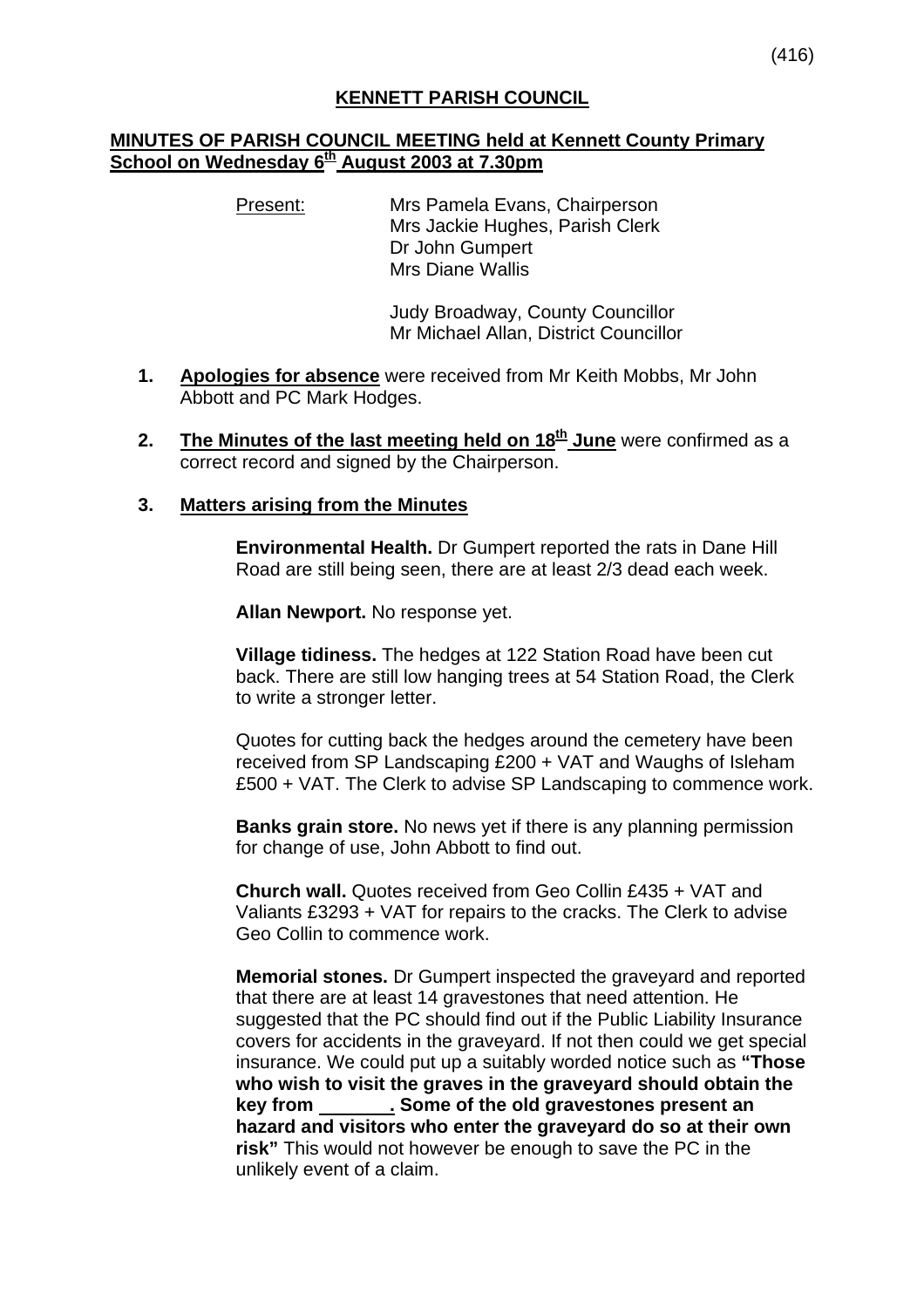### **KENNETT PARISH COUNCIL**

#### **MINUTES OF PARISH COUNCIL MEETING held at Kennett County Primary School on Wednesday 6<sup>th</sup> August 2003 at 7.30pm**

Present: Mrs Pamela Evans, Chairperson Mrs Jackie Hughes, Parish Clerk Dr John Gumpert Mrs Diane Wallis

> Judy Broadway, County Councillor Mr Michael Allan, District Councillor

- **1. Apologies for absence** were received from Mr Keith Mobbs, Mr John Abbott and PC Mark Hodges.
- **2.** The Minutes of the last meeting held on 18<sup>th</sup> June were confirmed as a correct record and signed by the Chairperson.

#### **3. Matters arising from the Minutes**

**Environmental Health.** Dr Gumpert reported the rats in Dane Hill Road are still being seen, there are at least 2/3 dead each week.

**Allan Newport.** No response yet.

**Village tidiness.** The hedges at 122 Station Road have been cut back. There are still low hanging trees at 54 Station Road, the Clerk to write a stronger letter.

Quotes for cutting back the hedges around the cemetery have been received from SP Landscaping £200 + VAT and Waughs of Isleham £500 + VAT. The Clerk to advise SP Landscaping to commence work.

**Banks grain store.** No news yet if there is any planning permission for change of use, John Abbott to find out.

**Church wall.** Quotes received from Geo Collin £435 + VAT and Valiants £3293 + VAT for repairs to the cracks. The Clerk to advise Geo Collin to commence work.

**Memorial stones.** Dr Gumpert inspected the graveyard and reported that there are at least 14 gravestones that need attention. He suggested that the PC should find out if the Public Liability Insurance covers for accidents in the graveyard. If not then could we get special insurance. We could put up a suitably worded notice such as **"Those who wish to visit the graves in the graveyard should obtain the key from . Some of the old gravestones present an hazard and visitors who enter the graveyard do so at their own risk"** This would not however be enough to save the PC in the unlikely event of a claim.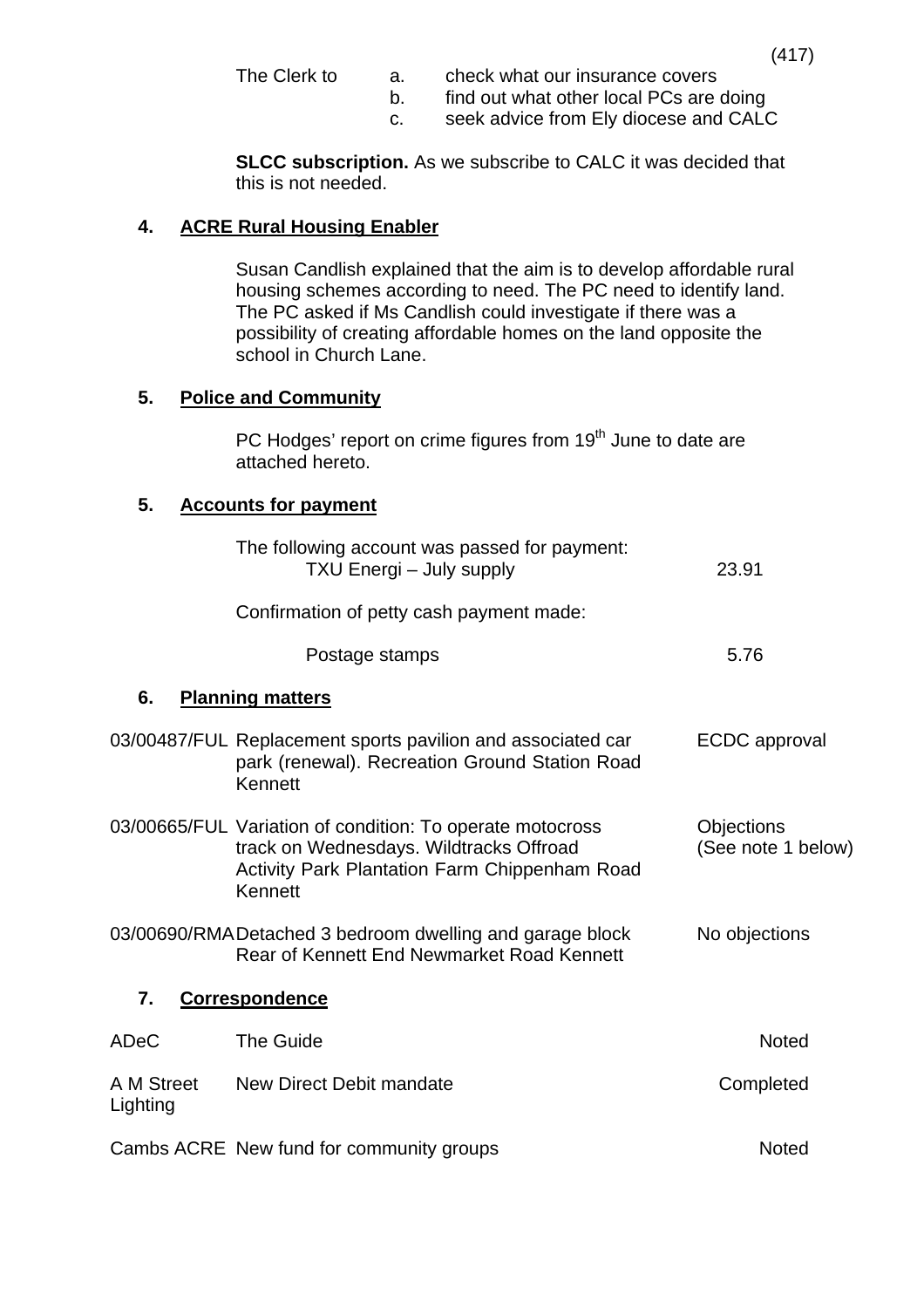- The Clerk to a. check what our insurance covers
	- b. find out what other local PCs are doing
	- c. seek advice from Ely diocese and CALC

**SLCC subscription.** As we subscribe to CALC it was decided that this is not needed.

# **4. ACRE Rural Housing Enabler**

 Susan Candlish explained that the aim is to develop affordable rural housing schemes according to need. The PC need to identify land. The PC asked if Ms Candlish could investigate if there was a possibility of creating affordable homes on the land opposite the school in Church Lane.

# **5. Police and Community**

PC Hodges' report on crime figures from 19<sup>th</sup> June to date are attached hereto.

# **5. Accounts for payment**

|                        | The following account was passed for payment:<br>TXU Energi - July supply                                                                                        | 23.91                            |
|------------------------|------------------------------------------------------------------------------------------------------------------------------------------------------------------|----------------------------------|
|                        | Confirmation of petty cash payment made:                                                                                                                         |                                  |
|                        | Postage stamps                                                                                                                                                   | 5.76                             |
| 6.                     | <b>Planning matters</b>                                                                                                                                          |                                  |
|                        | 03/00487/FUL Replacement sports pavilion and associated car<br>park (renewal). Recreation Ground Station Road<br>Kennett                                         | <b>ECDC</b> approval             |
|                        | 03/00665/FUL Variation of condition: To operate motocross<br>track on Wednesdays. Wildtracks Offroad<br>Activity Park Plantation Farm Chippenham Road<br>Kennett | Objections<br>(See note 1 below) |
|                        | 03/00690/RMADetached 3 bedroom dwelling and garage block<br>Rear of Kennett End Newmarket Road Kennett                                                           | No objections                    |
| 7.                     | <b>Correspondence</b>                                                                                                                                            |                                  |
| ADeC                   | <b>The Guide</b>                                                                                                                                                 | <b>Noted</b>                     |
| A M Street<br>Lighting | New Direct Debit mandate                                                                                                                                         | Completed                        |
|                        | Cambs ACRE New fund for community groups                                                                                                                         | <b>Noted</b>                     |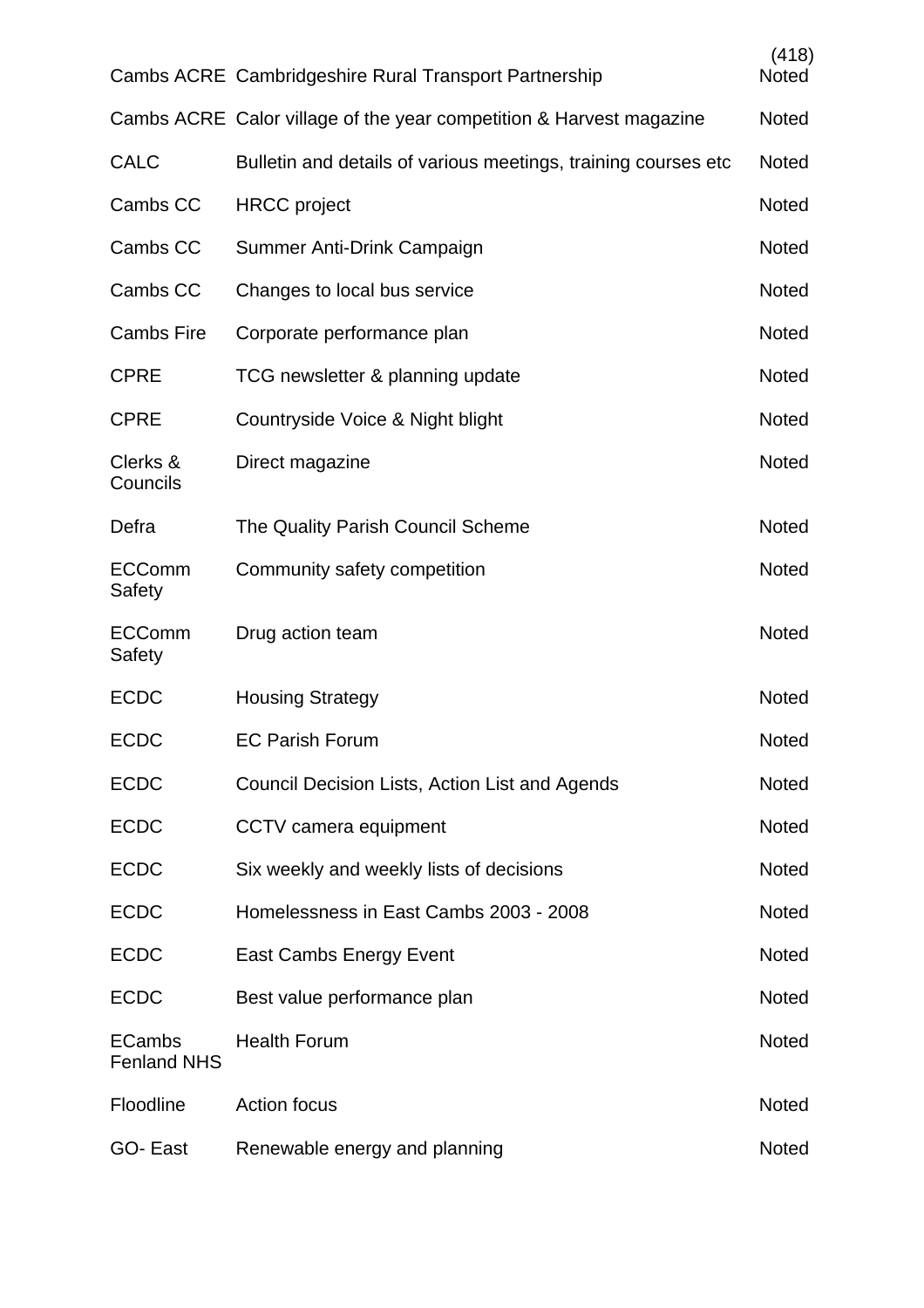|                                     | Cambs ACRE Cambridgeshire Rural Transport Partnership               | (418)<br><b>Noted</b> |
|-------------------------------------|---------------------------------------------------------------------|-----------------------|
|                                     | Cambs ACRE Calor village of the year competition & Harvest magazine | <b>Noted</b>          |
| <b>CALC</b>                         | Bulletin and details of various meetings, training courses etc.     | <b>Noted</b>          |
| Cambs CC                            | <b>HRCC</b> project                                                 | <b>Noted</b>          |
| Cambs CC                            | Summer Anti-Drink Campaign                                          | <b>Noted</b>          |
| Cambs CC                            | Changes to local bus service                                        | <b>Noted</b>          |
| <b>Cambs Fire</b>                   | Corporate performance plan                                          | <b>Noted</b>          |
| <b>CPRE</b>                         | TCG newsletter & planning update                                    | <b>Noted</b>          |
| <b>CPRE</b>                         | Countryside Voice & Night blight                                    | <b>Noted</b>          |
| Clerks &<br>Councils                | Direct magazine                                                     | <b>Noted</b>          |
| Defra                               | The Quality Parish Council Scheme                                   | <b>Noted</b>          |
| <b>ECComm</b><br>Safety             | Community safety competition                                        | Noted                 |
| <b>ECComm</b><br>Safety             | Drug action team                                                    | <b>Noted</b>          |
| <b>ECDC</b>                         | <b>Housing Strategy</b>                                             | <b>Noted</b>          |
| <b>ECDC</b>                         | <b>EC Parish Forum</b>                                              | <b>Noted</b>          |
| <b>ECDC</b>                         | Council Decision Lists, Action List and Agends                      | <b>Noted</b>          |
| <b>ECDC</b>                         | CCTV camera equipment                                               | <b>Noted</b>          |
| <b>ECDC</b>                         | Six weekly and weekly lists of decisions                            | <b>Noted</b>          |
| <b>ECDC</b>                         | Homelessness in East Cambs 2003 - 2008                              | Noted                 |
| <b>ECDC</b>                         | <b>East Cambs Energy Event</b>                                      | <b>Noted</b>          |
| <b>ECDC</b>                         | Best value performance plan                                         | Noted                 |
| <b>ECambs</b><br><b>Fenland NHS</b> | <b>Health Forum</b>                                                 | <b>Noted</b>          |
| Floodline                           | <b>Action focus</b>                                                 | <b>Noted</b>          |
| GO-East                             | Renewable energy and planning                                       | Noted                 |